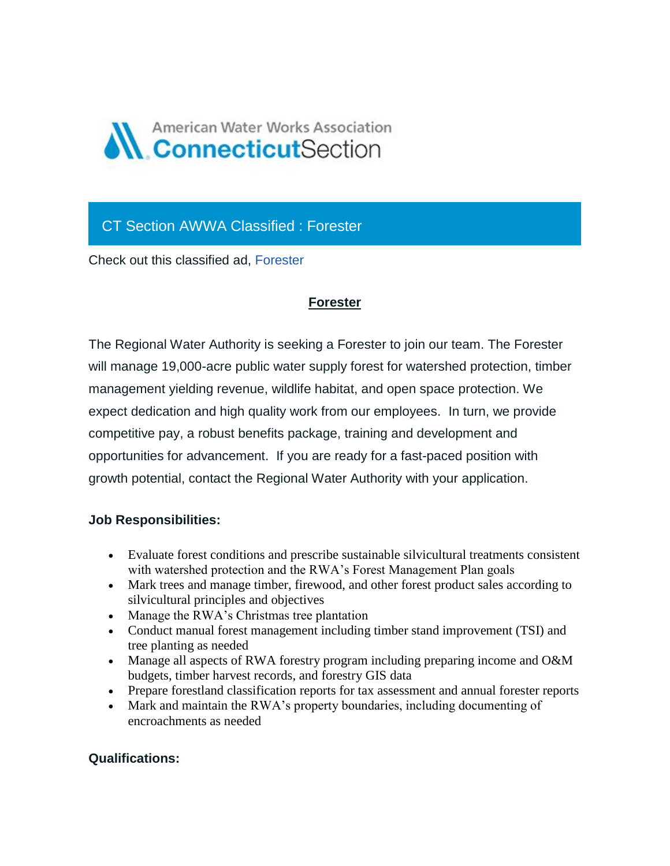

## CT Section AWWA Classified : Forester

Check out this classified ad, [Forester](https://ctawwa.org/ad-click.php?record_number=382&url=classifieds.php?record_number=382&source=email)

## **Forester**

The Regional Water Authority is seeking a Forester to join our team. The Forester will manage 19,000-acre public water supply forest for watershed protection, timber management yielding revenue, wildlife habitat, and open space protection. We expect dedication and high quality work from our employees. In turn, we provide competitive pay, a robust benefits package, training and development and opportunities for advancement. If you are ready for a fast-paced position with growth potential, contact the Regional Water Authority with your application.

## **Job Responsibilities:**

- Evaluate forest conditions and prescribe sustainable silvicultural treatments consistent with watershed protection and the RWA's Forest Management Plan goals
- Mark trees and manage timber, firewood, and other forest product sales according to silvicultural principles and objectives
- Manage the RWA's Christmas tree plantation
- Conduct manual forest management including timber stand improvement (TSI) and tree planting as needed
- Manage all aspects of RWA forestry program including preparing income and O&M budgets, timber harvest records, and forestry GIS data
- Prepare forestland classification reports for tax assessment and annual forester reports
- Mark and maintain the RWA's property boundaries, including documenting of encroachments as needed

## **Qualifications:**